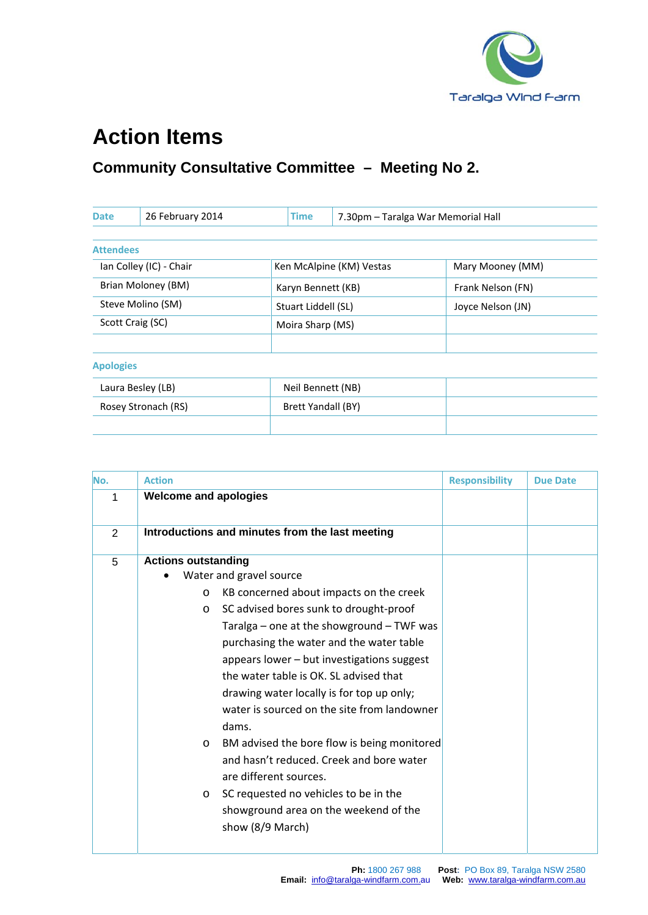

## **Action Items**

## **Community Consultative Committee – Meeting No 2.**

| <b>Date</b>             | 26 February 2014 | Time                | 7.30pm - Taralga War Memorial Hall |                   |
|-------------------------|------------------|---------------------|------------------------------------|-------------------|
|                         |                  |                     |                                    |                   |
| <b>Attendees</b>        |                  |                     |                                    |                   |
| Ian Colley (IC) - Chair |                  |                     | Ken McAlpine (KM) Vestas           | Mary Mooney (MM)  |
| Brian Moloney (BM)      |                  | Karyn Bennett (KB)  |                                    | Frank Nelson (FN) |
| Steve Molino (SM)       |                  | Stuart Liddell (SL) |                                    | Joyce Nelson (JN) |
| Scott Craig (SC)        |                  | Moira Sharp (MS)    |                                    |                   |
|                         |                  |                     |                                    |                   |
| <b>Apologies</b>        |                  |                     |                                    |                   |
| Laura Besley (LB)       |                  | Neil Bennett (NB)   |                                    |                   |
| Rosey Stronach (RS)     |                  | Brett Yandall (BY)  |                                    |                   |
|                         |                  |                     |                                    |                   |

| No.            | <b>Action</b>                                          | <b>Responsibility</b> | <b>Due Date</b> |
|----------------|--------------------------------------------------------|-----------------------|-----------------|
| 1              | <b>Welcome and apologies</b>                           |                       |                 |
| $\overline{2}$ | Introductions and minutes from the last meeting        |                       |                 |
| 5              | <b>Actions outstanding</b>                             |                       |                 |
|                | Water and gravel source                                |                       |                 |
|                | KB concerned about impacts on the creek<br>$\circ$     |                       |                 |
|                | SC advised bores sunk to drought-proof<br>$\circ$      |                       |                 |
|                | Taralga - one at the showground - TWF was              |                       |                 |
|                | purchasing the water and the water table               |                       |                 |
|                | appears lower - but investigations suggest             |                       |                 |
|                | the water table is OK. SL advised that                 |                       |                 |
|                | drawing water locally is for top up only;              |                       |                 |
|                | water is sourced on the site from landowner            |                       |                 |
|                | dams.                                                  |                       |                 |
|                | BM advised the bore flow is being monitored<br>$\circ$ |                       |                 |
|                | and hasn't reduced. Creek and bore water               |                       |                 |
|                | are different sources.                                 |                       |                 |
|                | SC requested no vehicles to be in the<br>$\circ$       |                       |                 |
|                | showground area on the weekend of the                  |                       |                 |
|                | show (8/9 March)                                       |                       |                 |
|                |                                                        |                       |                 |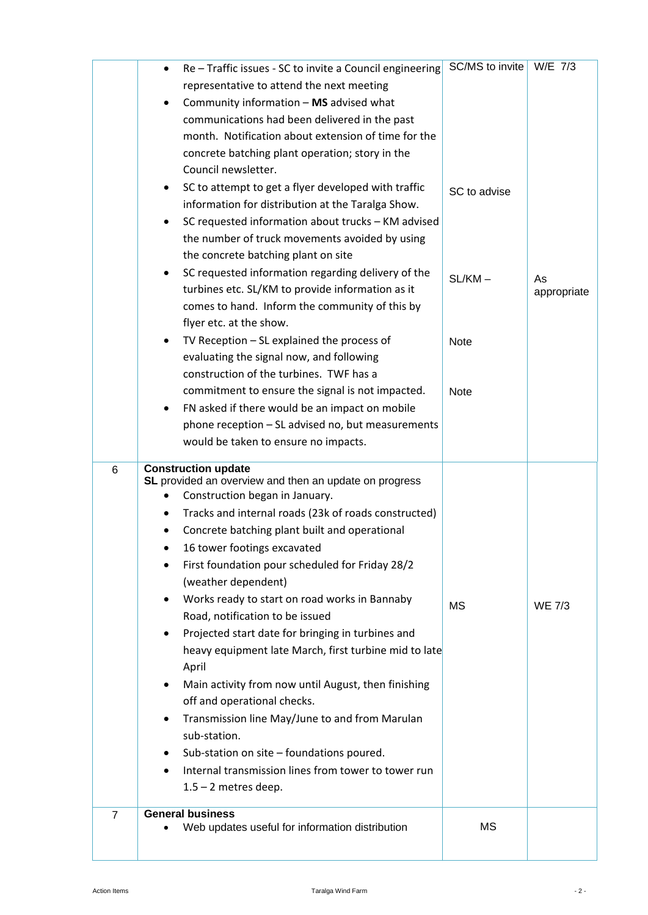|                | Re - Traffic issues - SC to invite a Council engineering<br>٠                | SC/MS to invite   W/E 7/3 |               |
|----------------|------------------------------------------------------------------------------|---------------------------|---------------|
|                | representative to attend the next meeting                                    |                           |               |
|                | Community information - MS advised what<br>٠                                 |                           |               |
|                | communications had been delivered in the past                                |                           |               |
|                | month. Notification about extension of time for the                          |                           |               |
|                | concrete batching plant operation; story in the                              |                           |               |
|                | Council newsletter.                                                          |                           |               |
|                | SC to attempt to get a flyer developed with traffic                          | SC to advise              |               |
|                | information for distribution at the Taralga Show.                            |                           |               |
|                | SC requested information about trucks - KM advised                           |                           |               |
|                | the number of truck movements avoided by using                               |                           |               |
|                | the concrete batching plant on site                                          |                           |               |
|                | SC requested information regarding delivery of the<br>٠                      | $SL/KM -$                 | As            |
|                | turbines etc. SL/KM to provide information as it                             |                           | appropriate   |
|                | comes to hand. Inform the community of this by                               |                           |               |
|                | flyer etc. at the show.                                                      |                           |               |
|                | TV Reception $-$ SL explained the process of                                 | <b>Note</b>               |               |
|                | evaluating the signal now, and following                                     |                           |               |
|                | construction of the turbines. TWF has a                                      |                           |               |
|                | commitment to ensure the signal is not impacted.                             | <b>Note</b>               |               |
|                | FN asked if there would be an impact on mobile<br>٠                          |                           |               |
|                | phone reception - SL advised no, but measurements                            |                           |               |
|                | would be taken to ensure no impacts.                                         |                           |               |
| 6              | <b>Construction update</b>                                                   |                           |               |
|                | SL provided an overview and then an update on progress                       |                           |               |
|                | Construction began in January.                                               |                           |               |
|                | Tracks and internal roads (23k of roads constructed)<br>٠                    |                           |               |
|                | Concrete batching plant built and operational<br>16 tower footings excavated |                           |               |
|                | First foundation pour scheduled for Friday 28/2                              |                           |               |
|                | (weather dependent)                                                          |                           |               |
|                | Works ready to start on road works in Bannaby                                |                           |               |
|                | Road, notification to be issued                                              | <b>MS</b>                 | <b>WE 7/3</b> |
|                | Projected start date for bringing in turbines and                            |                           |               |
|                | heavy equipment late March, first turbine mid to late                        |                           |               |
|                | April                                                                        |                           |               |
|                | Main activity from now until August, then finishing<br>٠                     |                           |               |
|                | off and operational checks.                                                  |                           |               |
|                | Transmission line May/June to and from Marulan<br>٠                          |                           |               |
|                | sub-station.                                                                 |                           |               |
|                | Sub-station on site - foundations poured.<br>٠                               |                           |               |
|                | Internal transmission lines from tower to tower run                          |                           |               |
|                | $1.5 - 2$ metres deep.                                                       |                           |               |
|                |                                                                              |                           |               |
|                |                                                                              |                           |               |
| $\overline{7}$ | <b>General business</b><br>Web updates useful for information distribution   | <b>MS</b>                 |               |
|                |                                                                              |                           |               |